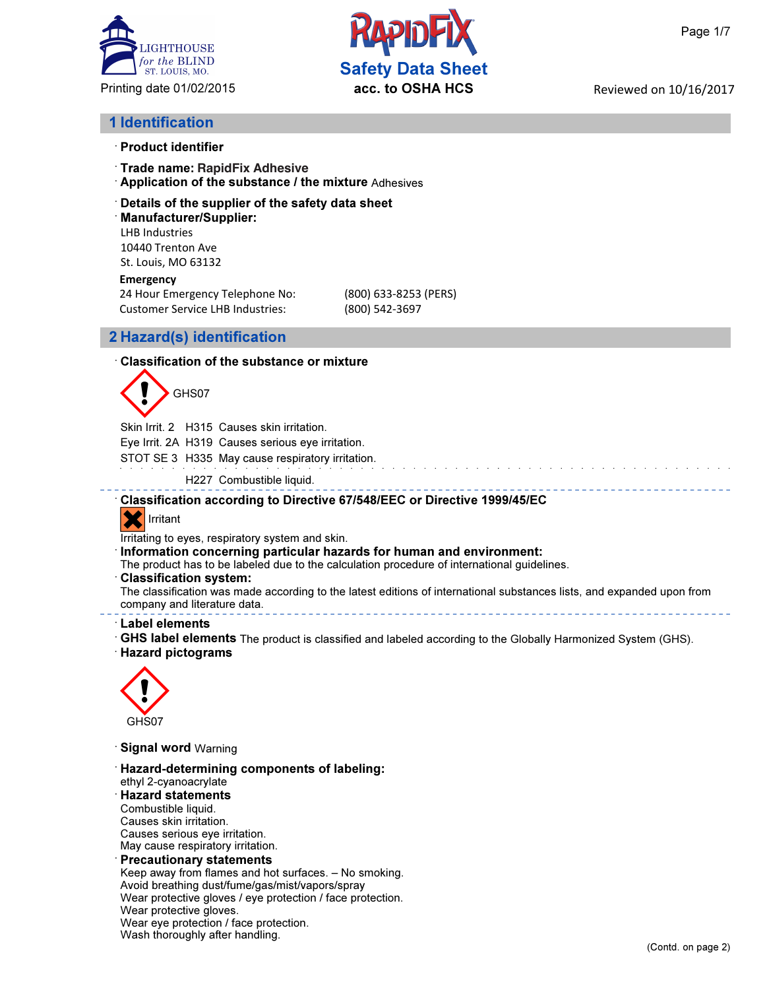



#### 1 Identification

- · Product identifier
- **Trade name: RapidFix Adhesive**
- · Application of the substance / the mixture Adhesives

#### · Details of the supplier of the safety data sheet

· Manufacturer/Supplier: LHB Industries 10440 Trenton Ave St. Louis, MO 63132

#### **Emergency**

24 Hour Emergency Telephone No: (800) 633-8253 (PERS) Customer Service LHB Industries: (800) 542-3697

#### 2 Hazard(s) identification

#### · Classification of the substance or mixture

# GHS07

Skin Irrit. 2 H315 Causes skin irritation.

Eye Irrit. 2A H319 Causes serious eye irritation.

STOT SE 3 H335 May cause respiratory irritation.

H227 Combustible liquid.

#### · Classification according to Directive 67/548/EEC or Directive 1999/45/EC

### **X** Irritant

Irritating to eyes, respiratory system and skin.

Information concerning particular hazards for human and environment:

The product has to be labeled due to the calculation procedure of international guidelines.

· Classification system:

The classification was made according to the latest editions of international substances lists, and expanded upon from company and literature data.

#### · Label elements

· GHS label elements The product is classified and labeled according to the Globally Harmonized System (GHS).

#### · Hazard pictograms



- · Signal word Warning
- · Hazard-determining components of labeling: ethyl 2-cyanoacrylate · Hazard statements Combustible liquid. Causes skin irritation. Causes serious eye irritation. May cause respiratory irritation. **Precautionary statements**

Keep away from flames and hot surfaces. – No smoking. Avoid breathing dust/fume/gas/mist/vapors/spray Wear protective gloves / eye protection / face protection. Wear protective gloves. Wear eye protection / face protection. Wash thoroughly after handling.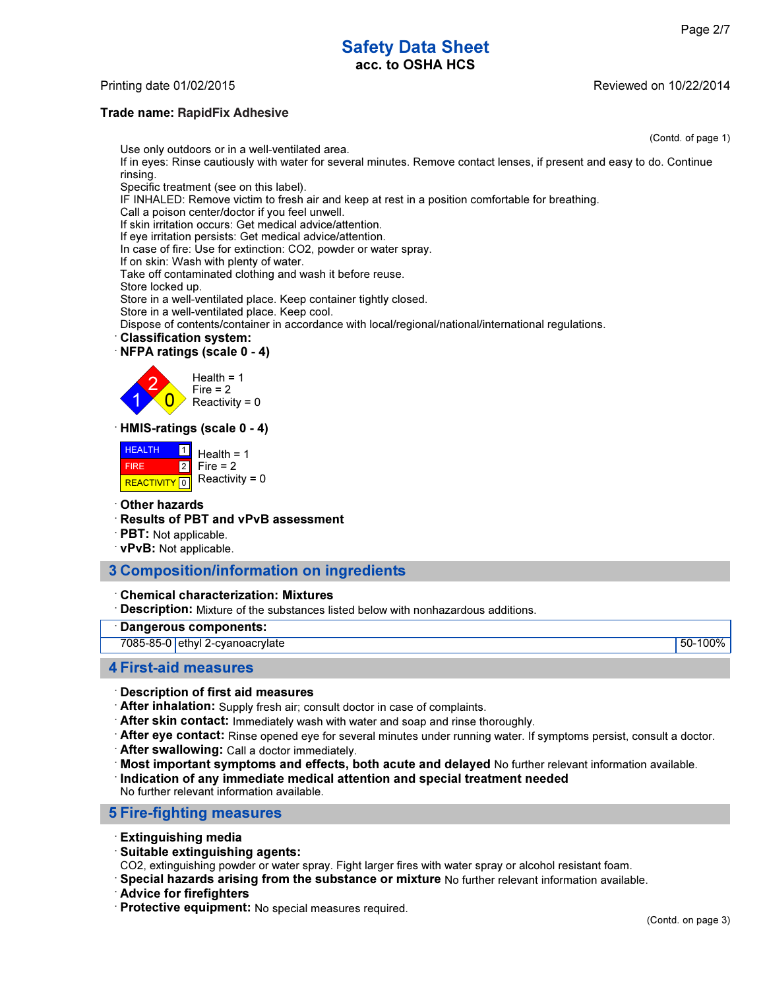## Safety Data Sheet acc. to OSHA HCS

#### Printing date 01/02/2015

#### Trade name: 2004 **RapidFix Adhesive**

(Contd. of page 1) Use only outdoors or in a well-ventilated area. If in eyes: Rinse cautiously with water for several minutes. Remove contact lenses, if present and easy to do. Continue rinsing. Specific treatment (see on this label). IF INHALED: Remove victim to fresh air and keep at rest in a position comfortable for breathing.

Call a poison center/doctor if you feel unwell.

If skin irritation occurs: Get medical advice/attention.

If eye irritation persists: Get medical advice/attention.

In case of fire: Use for extinction: CO2, powder or water spray.

If on skin: Wash with plenty of water.

Take off contaminated clothing and wash it before reuse.

Store locked up.

Store in a well-ventilated place. Keep container tightly closed.

Store in a well-ventilated place. Keep cool.

Dispose of contents/container in accordance with local/regional/national/international regulations.

· Classification system:

#### · NFPA ratings (scale 0 - 4)



 $Fire = 2$  $Reactivity = 0$ 

#### · HMIS-ratings (scale 0 - 4)

| <b>HEALTH</b> | Health = $1$                          |
|---------------|---------------------------------------|
| <b>FIRE</b>   | $2$ Fire = 2                          |
|               | REACTIVITY $\boxed{0}$ Reactivity = 0 |

#### · Other hazards

- · Results of PBT and vPvB assessment
- · PBT: Not applicable.
- · vPvB: Not applicable.

#### 3 Composition/information on ingredients

#### · Chemical characterization: Mixtures

**Description:** Mixture of the substances listed below with nonhazardous additions.

#### Dangerous components:

7085-85-0 ethyl 2-cyanoacrylate 50-100%

#### 4 First-aid measures

#### · Description of first aid measures

- · After inhalation: Supply fresh air; consult doctor in case of complaints.
- · After skin contact: Immediately wash with water and soap and rinse thoroughly.
- · After eye contact: Rinse opened eye for several minutes under running water. If symptoms persist, consult a doctor.
- · After swallowing: Call a doctor immediately.
- · Most important symptoms and effects, both acute and delayed No further relevant information available.

Indication of any immediate medical attention and special treatment needed

No further relevant information available.

#### 5 Fire-fighting measures

- · Extinguishing media
- · Suitable extinguishing agents:
- CO2, extinguishing powder or water spray. Fight larger fires with water spray or alcohol resistant foam.
- · Special hazards arising from the substance or mixture No further relevant information available.
- · Advice for firefighters

· Protective equipment: No special measures required.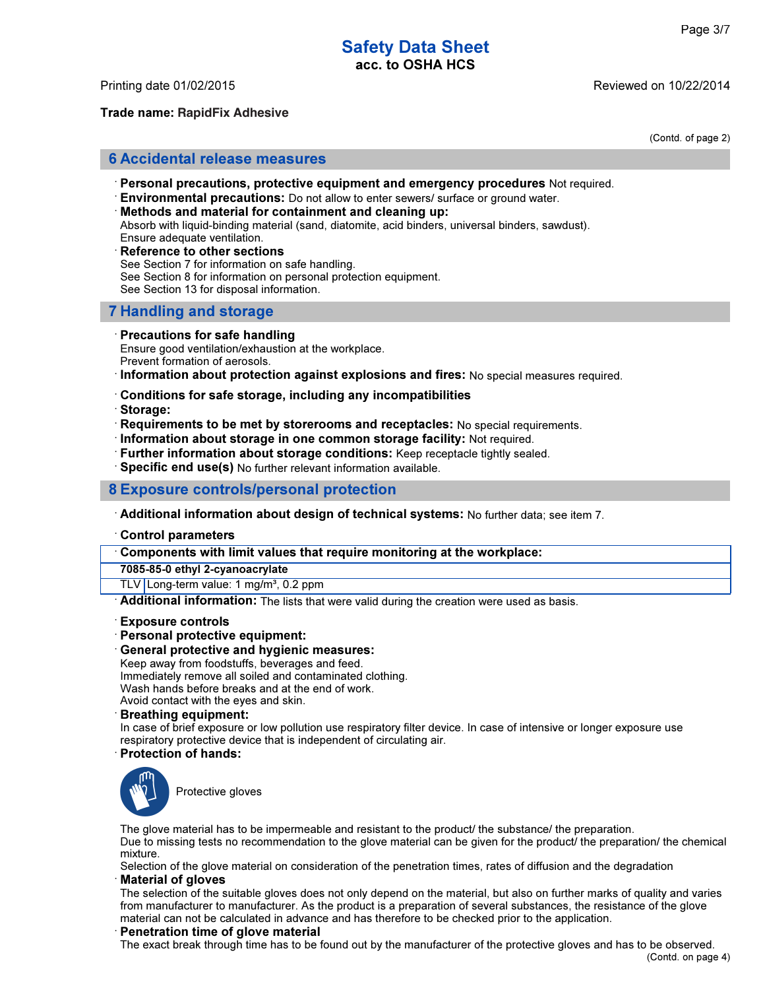### Safety Data Sheet acc. to OSHA HCS

Trade name: 2004 **RapidFix Adhesive**

Printing date 01/02/2015 Reviewed on 10/22/2014

(Contd. of page 2)

#### 6 Accidental release measures

- · Personal precautions, protective equipment and emergency procedures Not required.
- $\cdot$  Environmental precautions: Do not allow to enter sewers/ surface or ground water.
- Methods and material for containment and cleaning up: Absorb with liquid-binding material (sand, diatomite, acid binders, universal binders, sawdust). Ensure adequate ventilation.
- Reference to other sections See Section 7 for information on safe handling. See Section 8 for information on personal protection equipment. See Section 13 for disposal information.

#### 7 Handling and storage

#### · Precautions for safe handling

Ensure good ventilation/exhaustion at the workplace. Prevent formation of aerosols.

· Information about protection against explosions and fires: No special measures required.

- · Conditions for safe storage, including any incompatibilities
- · Storage:
- · Requirements to be met by storerooms and receptacles: No special requirements.
- · Information about storage in one common storage facility: Not required.
- · Further information about storage conditions: Keep receptacle tightly sealed.
- · Specific end use(s) No further relevant information available.

#### 8 Exposure controls/personal protection

- · Additional information about design of technical systems: No further data; see item 7.
- · Control parameters

· Components with limit values that require monitoring at the workplace:

7085-85-0 ethyl 2-cyanoacrylate

TLV Long-term value: 1 mg/m<sup>3</sup>, 0.2 ppm

**Additional information:** The lists that were valid during the creation were used as basis.

- · Exposure controls
- · Personal protective equipment:
- General protective and hygienic measures:

Keep away from foodstuffs, beverages and feed.

Immediately remove all soiled and contaminated clothing.

Wash hands before breaks and at the end of work.

Avoid contact with the eyes and skin.

· Breathing equipment:

In case of brief exposure or low pollution use respiratory filter device. In case of intensive or longer exposure use respiratory protective device that is independent of circulating air.

· Protection of hands:



Protective gloves

The glove material has to be impermeable and resistant to the product/ the substance/ the preparation. Due to missing tests no recommendation to the glove material can be given for the product/ the preparation/ the chemical mixture.

Selection of the glove material on consideration of the penetration times, rates of diffusion and the degradation **Material of gloves** 

The selection of the suitable gloves does not only depend on the material, but also on further marks of quality and varies from manufacturer to manufacturer. As the product is a preparation of several substances, the resistance of the glove material can not be calculated in advance and has therefore to be checked prior to the application.

#### Penetration time of glove material

The exact break through time has to be found out by the manufacturer of the protective gloves and has to be observed.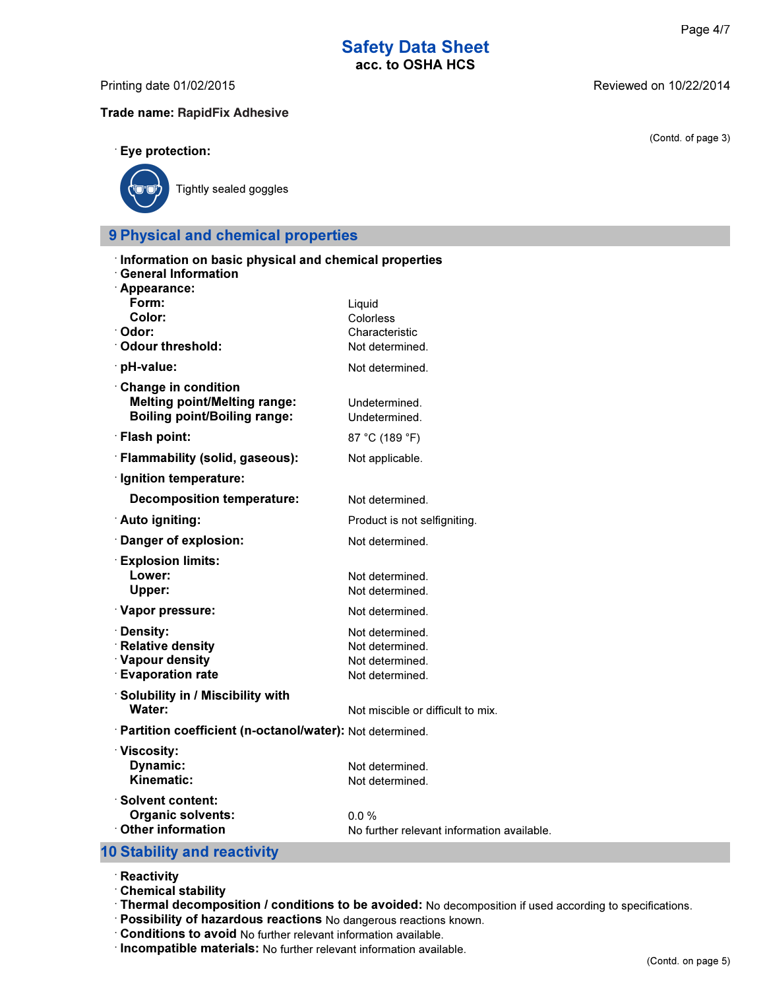# Safety Data Sheet<br>acc. to OSHA HCS

Printing date 01/02/2015 **Reviewed on 10/22/2014** 

Trade name: 2004 **RapidFix Adhesive**

(Contd. of page 3)

#### · Eye protection:



Tightly sealed goggles

### 9 Physical and chemical properties

| Information on basic physical and chemical properties<br><b>General Information</b>                                            |                                                                          |
|--------------------------------------------------------------------------------------------------------------------------------|--------------------------------------------------------------------------|
| · Appearance:                                                                                                                  |                                                                          |
| Form:<br>Color:<br>· Odor:<br>Odour threshold:                                                                                 | Liquid<br>Colorless<br>Characteristic<br>Not determined.                 |
| · pH-value:                                                                                                                    | Not determined.                                                          |
| <b>Change in condition</b><br><b>Melting point/Melting range:</b><br><b>Boiling point/Boiling range:</b>                       | Undetermined.<br>Undetermined.                                           |
| · Flash point:                                                                                                                 | 87 °C (189 °F)                                                           |
| · Flammability (solid, gaseous):                                                                                               | Not applicable.                                                          |
| · Ignition temperature:                                                                                                        |                                                                          |
| <b>Decomposition temperature:</b>                                                                                              | Not determined.                                                          |
| ∴ Auto igniting:                                                                                                               | Product is not selfigniting.                                             |
| Danger of explosion:                                                                                                           | Not determined.                                                          |
| <b>Explosion limits:</b><br>Lower:<br>Upper:                                                                                   | Not determined.<br>Not determined.                                       |
| Vapor pressure:                                                                                                                | Not determined.                                                          |
| <b>∙Density:</b><br><b>Relative density</b><br>· Vapour density<br><b>Evaporation rate</b><br>Solubility in / Miscibility with | Not determined.<br>Not determined.<br>Not determined.<br>Not determined. |
| Water:                                                                                                                         | Not miscible or difficult to mix.                                        |
| · Partition coefficient (n-octanol/water): Not determined.                                                                     |                                                                          |
| <b>∶Viscosity:</b><br>Dynamic:<br>Kinematic:                                                                                   | Not determined.<br>Not determined.                                       |
| <b>Solvent content:</b><br><b>Organic solvents:</b><br>$\cdot$ Other information                                               | 0.0%<br>No further relevant information available.                       |

### 10 Stability and reactivity

- · Reactivity
- · Chemical stability
- · Thermal decomposition / conditions to be avoided: No decomposition if used according to specifications.
- · Possibility of hazardous reactions No dangerous reactions known.
- · Conditions to avoid No further relevant information available.
- · Incompatible materials: No further relevant information available.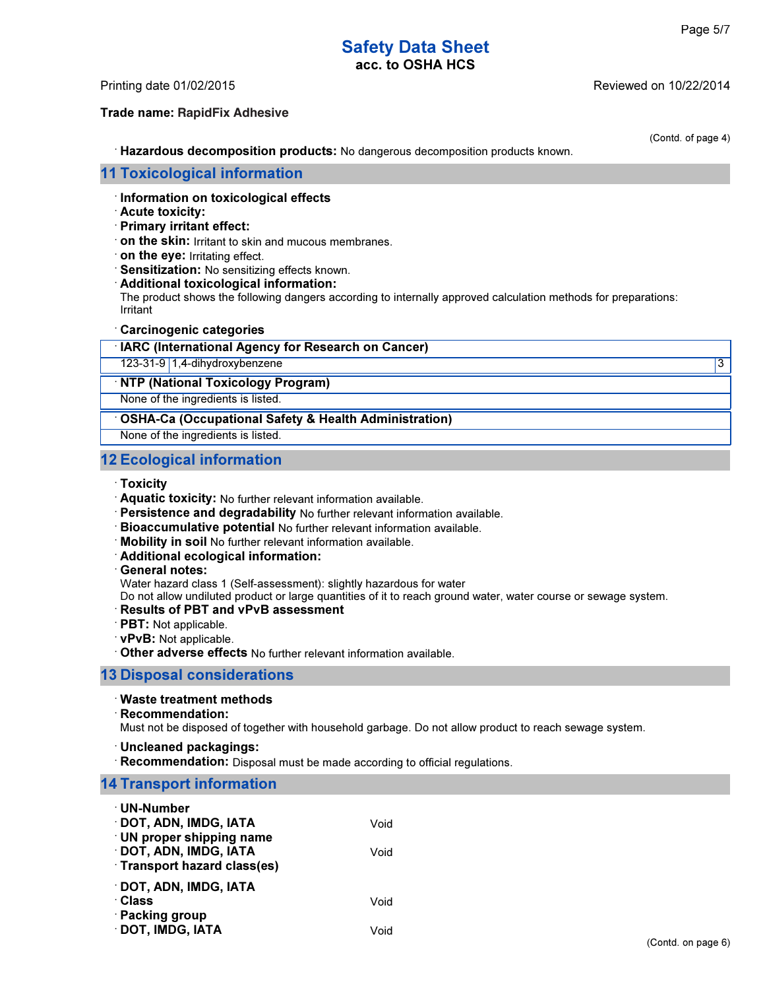(Contd. of page 4)

### Safety Data Sheet acc. to OSHA HCS

Trade name: 2004 **RapidFix Adhesive**

Printing date 01/02/2015 Reviewed on 10/22/2014

· Hazardous decomposition products: No dangerous decomposition products known.

#### 11 Toxicological information

#### · Information on toxicological effects

#### · Acute toxicity:

- · Primary irritant effect:
- · on the skin: Irritant to skin and mucous membranes.
- · on the eye: Irritating effect.
- · Sensitization: No sensitizing effects known.

#### · Additional toxicological information:

The product shows the following dangers according to internally approved calculation methods for preparations: Irritant

#### · Carcinogenic categories

### IARC (International Agency for Research on Cancer) 123-31-9 1,4-dihydroxybenzene 3 · NTP (National Toxicology Program)

None of the ingredients is listed.

OSHA-Ca (Occupational Safety & Health Administration)

None of the ingredients is listed.

#### 12 Ecological information

- · Toxicity
- · Aquatic toxicity: No further relevant information available.
- · Persistence and degradability No further relevant information available.
- · Bioaccumulative potential No further relevant information available.
- · Mobility in soil No further relevant information available.
- · Additional ecological information:
- · General notes:

Water hazard class 1 (Self-assessment): slightly hazardous for water

Do not allow undiluted product or large quantities of it to reach ground water, water course or sewage system.

#### Results of PBT and vPvB assessment

- · PBT: Not applicable.
- · vPvB: Not applicable.
- · Other adverse effects No further relevant information available.

#### 13 Disposal considerations

#### · Waste treatment methods

· Recommendation:

Must not be disposed of together with household garbage. Do not allow product to reach sewage system.

- · Uncleaned packagings:
- Recommendation: Disposal must be made according to official regulations.

#### 14 Transport information

| · UN-Number                       |      |
|-----------------------------------|------|
| <b>DOT, ADN, IMDG, IATA</b>       | Void |
| · UN proper shipping name         |      |
| DOT, ADN, IMDG, IATA              | Void |
| <b>Transport hazard class(es)</b> |      |
| · DOT, ADN, IMDG, IATA            |      |
| ∴Class                            | Void |
| · Packing group                   |      |
| DOT, IMDG, IATA                   | Void |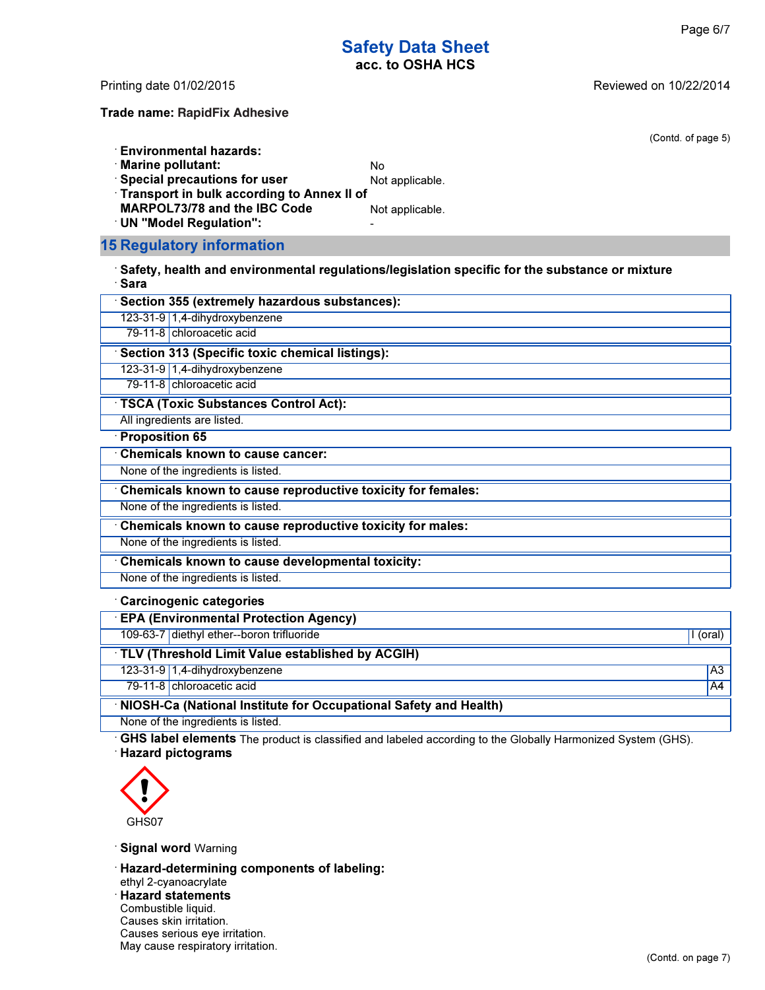(Contd. of page 5)

### Safety Data Sheet acc. to OSHA HCS

Printing date 01/02/2015 Reviewed on 10/22/2014

Trade name: 2004 **RapidFix Adhesive**

**Environmental hazards:** 

· Marine pollutant: No

 $\cdot$  Special precautions for user  $\cdot$  Not applicable.

· Transport in bulk according to Annex II of

MARPOL73/78 and the IBC Code Not applicable.

· UN "Model Regulation": -

#### 15 Regulatory information

 $\cdot$  Safety, health and environmental regulations/legislation specific for the substance or mixture · Sara

| Section 355 (extremely hazardous substances):               |                |
|-------------------------------------------------------------|----------------|
| 123-31-9 1,4-dihydroxybenzene                               |                |
| 79-11-8 chloroacetic acid                                   |                |
| Section 313 (Specific toxic chemical listings):             |                |
| 123-31-9 1,4-dihydroxybenzene                               |                |
| 79-11-8 chloroacetic acid                                   |                |
| <b>TSCA (Toxic Substances Control Act):</b>                 |                |
| All ingredients are listed.                                 |                |
| $\cdot$ Proposition 65                                      |                |
| <b>Chemicals known to cause cancer:</b>                     |                |
| None of the ingredients is listed.                          |                |
| Chemicals known to cause reproductive toxicity for females: |                |
| None of the ingredients is listed.                          |                |
| Chemicals known to cause reproductive toxicity for males:   |                |
| None of the ingredients is listed.                          |                |
| <b>Chemicals known to cause developmental toxicity:</b>     |                |
| None of the ingredients is listed.                          |                |
| <b>Carcinogenic categories</b>                              |                |
| <b>EPA (Environmental Protection Agency)</b>                |                |
| 109-63-7 diethyl ether--boron trifluoride                   | I (oral)       |
| TLV (Threshold Limit Value established by ACGIH)            |                |
| 123-31-9 1,4-dihydroxybenzene                               | A <sub>3</sub> |

79-11-8 chloroacetic acid A4

· NIOSH-Ca (National Institute for Occupational Safety and Health)

None of the ingredients is listed.

GHS label elements The product is classified and labeled according to the Globally Harmonized System (GHS). · Hazard pictograms



Signal word Warning

· Hazard-determining components of labeling:

ethyl 2-cyanoacrylate

· Hazard statements

Combustible liquid.

Causes skin irritation.

Causes serious eye irritation.

May cause respiratory irritation.